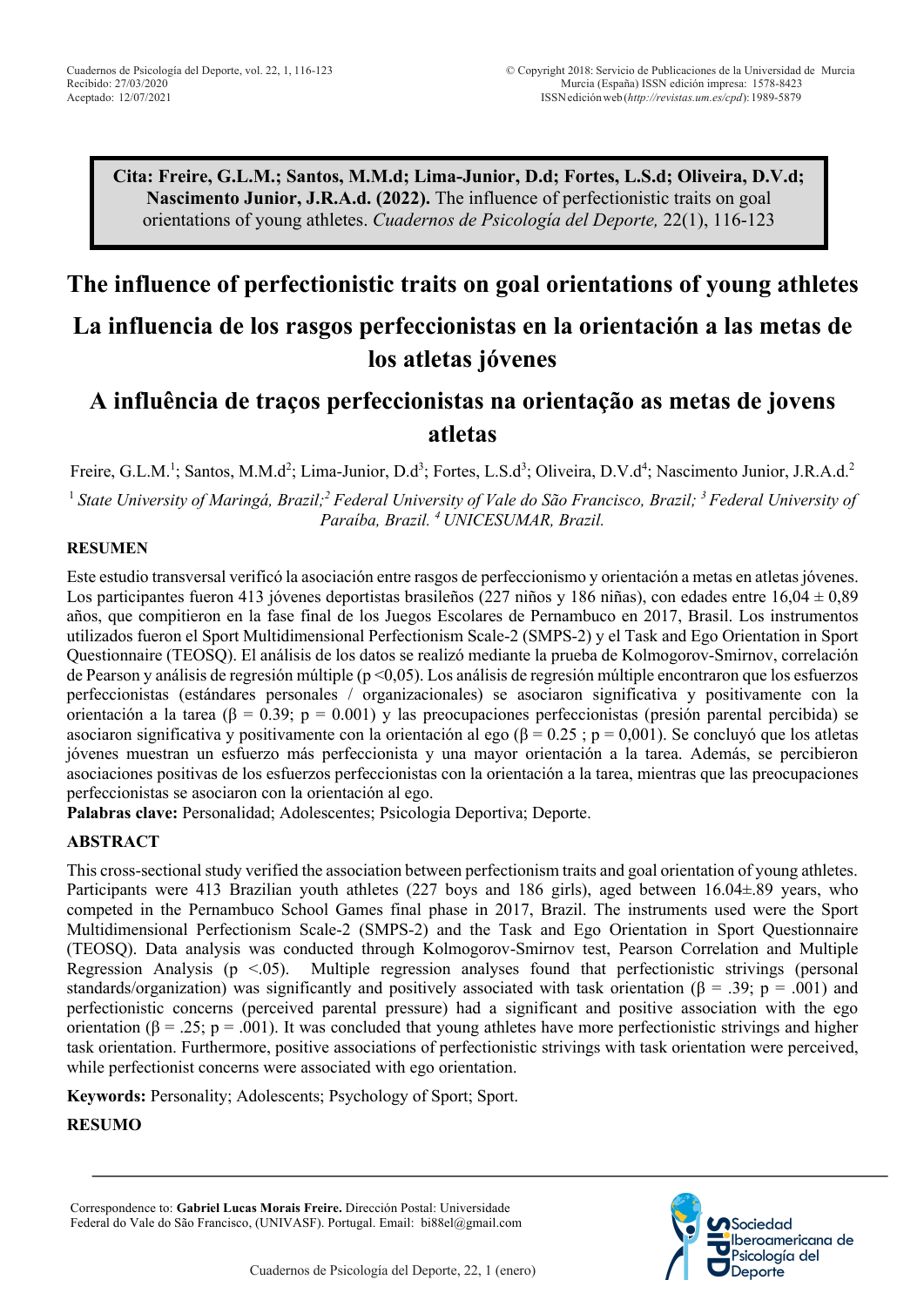**Cita: Freire, G.L.M.; Santos, M.M.d; Lima-Junior, D.d; Fortes, L.S.d; Oliveira, D.V.d; Nascimento Junior, J.R.A.d. (2022).** The influence of perfectionistic traits on goal orientations of young athletes. *Cuadernos de Psicología del Deporte,* 22(1), 116-123

# **The influence of perfectionistic traits on goal orientations of young athletes La influencia de los rasgos perfeccionistas en la orientación a las metas de los atletas jóvenes**

# **A influência de traços perfeccionistas na orientação as metas de jovens atletas**

Freire, G.L.M.<sup>1</sup>; Santos, M.M.d<sup>2</sup>; Lima-Junior, D.d<sup>3</sup>; Fortes, L.S.d<sup>3</sup>; Oliveira, D.V.d<sup>4</sup>; Nascimento Junior, J.R.A.d.<sup>2</sup>

<sup>1</sup> *State University of Maringá, Brazil; <sup>2</sup> Federal University of Vale do São Francisco, Brazil; 3 Federal University of Paraíba, Brazil. 4 UNICESUMAR, Brazil.* 

#### **RESUMEN**

Este estudio transversal verificó la asociación entre rasgos de perfeccionismo y orientación a metas en atletas jóvenes. Los participantes fueron 413 jóvenes deportistas brasileños (227 niños y 186 niñas), con edades entre 16,04  $\pm$  0,89 años, que compitieron en la fase final de los Juegos Escolares de Pernambuco en 2017, Brasil. Los instrumentos utilizados fueron el Sport Multidimensional Perfectionism Scale-2 (SMPS-2) y el Task and Ego Orientation in Sport Questionnaire (TEOSQ). El análisis de los datos se realizó mediante la prueba de Kolmogorov-Smirnov, correlación de Pearson y análisis de regresión múltiple (p <0,05). Los análisis de regresión múltiple encontraron que los esfuerzos perfeccionistas (estándares personales / organizacionales) se asociaron significativa y positivamente con la orientación a la tarea (β = 0.39; p = 0.001) y las preocupaciones perfeccionistas (presión parental percibida) se asociaron significativa y positivamente con la orientación al ego (β = 0.25 ; p = 0,001). Se concluyó que los atletas jóvenes muestran un esfuerzo más perfeccionista y una mayor orientación a la tarea. Además, se percibieron asociaciones positivas de los esfuerzos perfeccionistas con la orientación a la tarea, mientras que las preocupaciones perfeccionistas se asociaron con la orientación al ego.

**Palabras clave:** Personalidad; Adolescentes; Psicologia Deportiva; Deporte.

#### **ABSTRACT**

This cross-sectional study verified the association between perfectionism traits and goal orientation of young athletes. Participants were 413 Brazilian youth athletes (227 boys and 186 girls), aged between 16.04±.89 years, who competed in the Pernambuco School Games final phase in 2017, Brazil. The instruments used were the Sport Multidimensional Perfectionism Scale-2 (SMPS-2) and the Task and Ego Orientation in Sport Questionnaire (TEOSQ). Data analysis was conducted through Kolmogorov-Smirnov test, Pearson Correlation and Multiple Regression Analysis ( $p < 0.05$ ). Multiple regression analyses found that perfectionistic strivings (personal standards/organization) was significantly and positively associated with task orientation ( $\beta$  = .39; p = .001) and perfectionistic concerns (perceived parental pressure) had a significant and positive association with the ego orientation ( $\beta = .25$ ; p = .001). It was concluded that young athletes have more perfectionistic strivings and higher task orientation. Furthermore, positive associations of perfectionistic strivings with task orientation were perceived, while perfectionist concerns were associated with ego orientation.

**Keywords:** Personality; Adolescents; Psychology of Sport; Sport.

**RESUMO** 

Correspondence to: **Gabriel Lucas Morais Freire.** Dirección Postal: Universidade Federal do Vale do São Francisco, (UNIVASF). Portugal. Email: bi88el@gmail.com

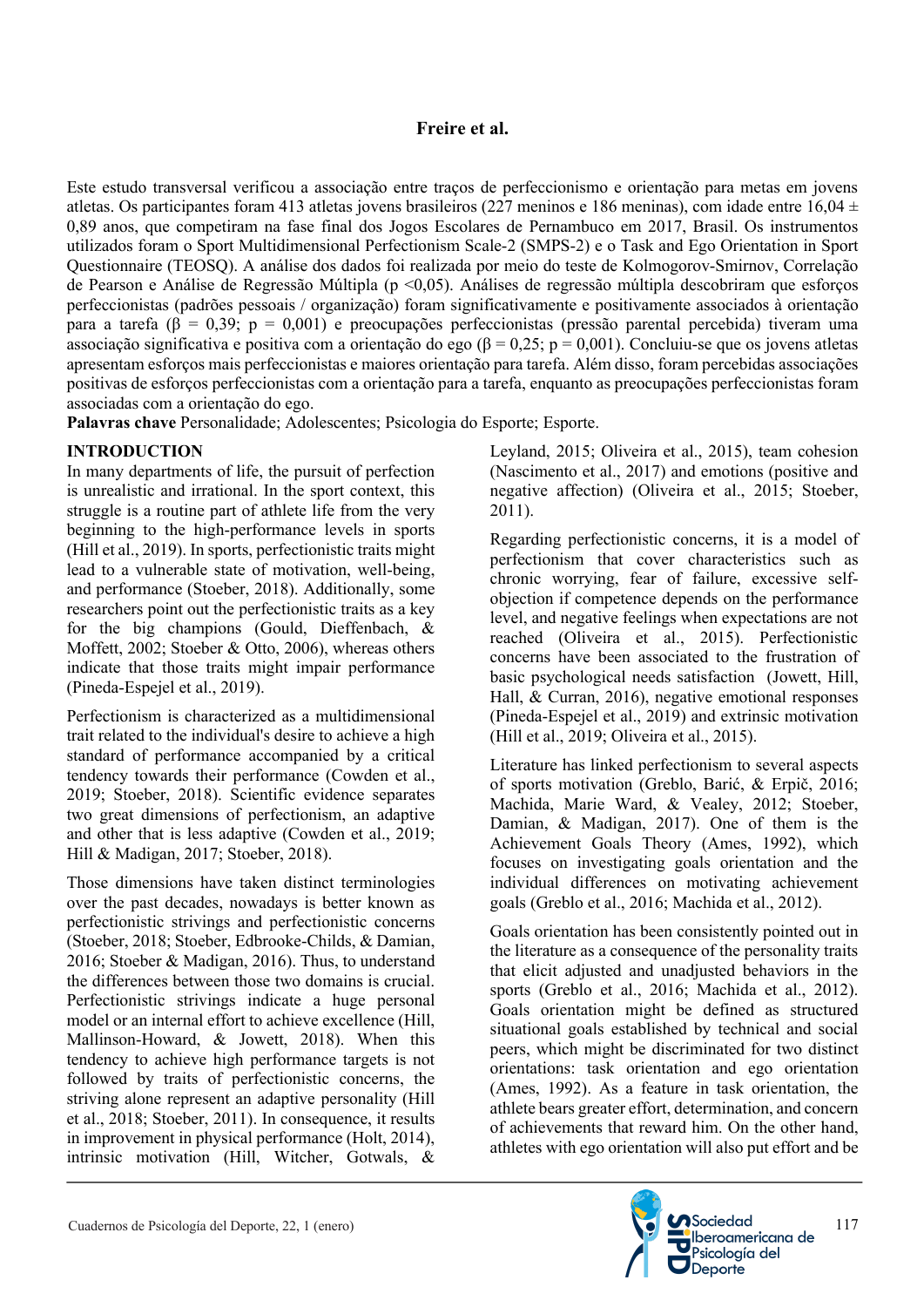#### **Freire et al.**

Este estudo transversal verificou a associação entre traços de perfeccionismo e orientação para metas em jovens atletas. Os participantes foram 413 atletas jovens brasileiros (227 meninos e 186 meninas), com idade entre 16,04  $\pm$ 0,89 anos, que competiram na fase final dos Jogos Escolares de Pernambuco em 2017, Brasil. Os instrumentos utilizados foram o Sport Multidimensional Perfectionism Scale-2 (SMPS-2) e o Task and Ego Orientation in Sport Questionnaire (TEOSQ). A análise dos dados foi realizada por meio do teste de Kolmogorov-Smirnov, Correlação de Pearson e Análise de Regressão Múltipla (p <0,05). Análises de regressão múltipla descobriram que esforços perfeccionistas (padrões pessoais / organização) foram significativamente e positivamente associados à orientação para a tarefa (β = 0,39; p = 0,001) e preocupações perfeccionistas (pressão parental percebida) tiveram uma associação significativa e positiva com a orientação do ego ( $\beta = 0.25$ ; p = 0,001). Concluiu-se que os jovens atletas apresentam esforços mais perfeccionistas e maiores orientação para tarefa. Além disso, foram percebidas associações positivas de esforços perfeccionistas com a orientação para a tarefa, enquanto as preocupações perfeccionistas foram associadas com a orientação do ego.

**Palavras chave** Personalidade; Adolescentes; Psicologia do Esporte; Esporte.

## **INTRODUCTION**

In many departments of life, the pursuit of perfection is unrealistic and irrational. In the sport context, this struggle is a routine part of athlete life from the very beginning to the high-performance levels in sports (Hill et al., 2019). In sports, perfectionistic traits might lead to a vulnerable state of motivation, well-being, and performance (Stoeber, 2018). Additionally, some researchers point out the perfectionistic traits as a key for the big champions (Gould, Dieffenbach, & Moffett, 2002; Stoeber & Otto, 2006), whereas others indicate that those traits might impair performance (Pineda-Espejel et al., 2019).

Perfectionism is characterized as a multidimensional trait related to the individual's desire to achieve a high standard of performance accompanied by a critical tendency towards their performance (Cowden et al., 2019; Stoeber, 2018). Scientific evidence separates two great dimensions of perfectionism, an adaptive and other that is less adaptive (Cowden et al., 2019; Hill & Madigan, 2017; Stoeber, 2018).

Those dimensions have taken distinct terminologies over the past decades, nowadays is better known as perfectionistic strivings and perfectionistic concerns (Stoeber, 2018; Stoeber, Edbrooke-Childs, & Damian, 2016; Stoeber & Madigan, 2016). Thus, to understand the differences between those two domains is crucial. Perfectionistic strivings indicate a huge personal model or an internal effort to achieve excellence (Hill, Mallinson-Howard, & Jowett, 2018). When this tendency to achieve high performance targets is not followed by traits of perfectionistic concerns, the striving alone represent an adaptive personality (Hill et al., 2018; Stoeber, 2011). In consequence, it results in improvement in physical performance (Holt, 2014), intrinsic motivation (Hill, Witcher, Gotwals, & Leyland, 2015; Oliveira et al., 2015), team cohesion (Nascimento et al., 2017) and emotions (positive and negative affection) (Oliveira et al., 2015; Stoeber, 2011).

Regarding perfectionistic concerns, it is a model of perfectionism that cover characteristics such as chronic worrying, fear of failure, excessive selfobjection if competence depends on the performance level, and negative feelings when expectations are not reached (Oliveira et al., 2015). Perfectionistic concerns have been associated to the frustration of basic psychological needs satisfaction (Jowett, Hill, Hall, & Curran, 2016), negative emotional responses (Pineda-Espejel et al., 2019) and extrinsic motivation (Hill et al., 2019; Oliveira et al., 2015).

Literature has linked perfectionism to several aspects of sports motivation (Greblo, Barić, & Erpič, 2016; Machida, Marie Ward, & Vealey, 2012; Stoeber, Damian, & Madigan, 2017). One of them is the Achievement Goals Theory (Ames, 1992), which focuses on investigating goals orientation and the individual differences on motivating achievement goals (Greblo et al., 2016; Machida et al., 2012).

Goals orientation has been consistently pointed out in the literature as a consequence of the personality traits that elicit adjusted and unadjusted behaviors in the sports (Greblo et al., 2016; Machida et al., 2012). Goals orientation might be defined as structured situational goals established by technical and social peers, which might be discriminated for two distinct orientations: task orientation and ego orientation (Ames, 1992). As a feature in task orientation, the athlete bears greater effort, determination, and concern of achievements that reward him. On the other hand, athletes with ego orientation will also put effort and be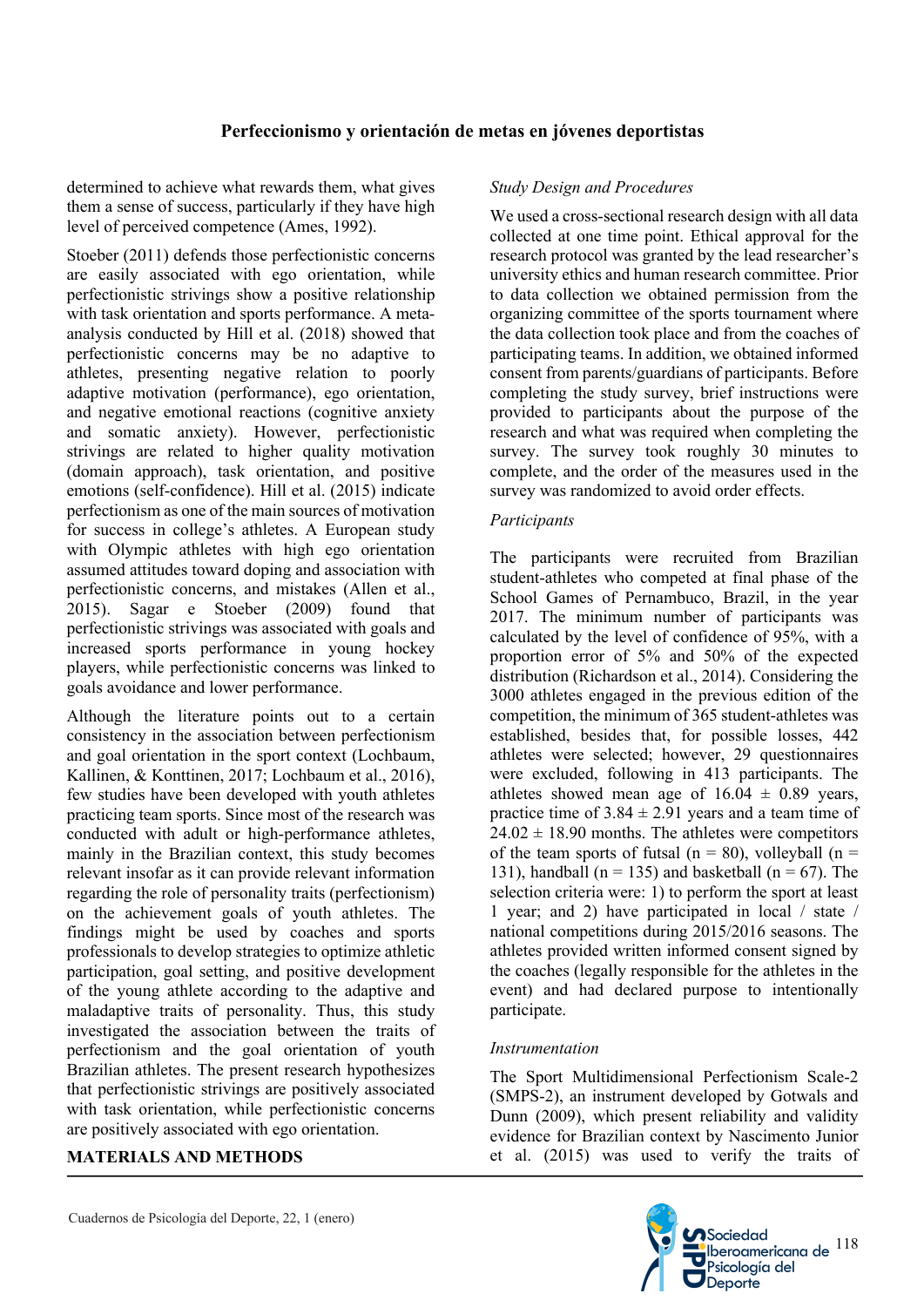# **Perfeccionismo y orientación de metas en jóvenes deportistas**

determined to achieve what rewards them, what gives them a sense of success, particularly if they have high level of perceived competence (Ames, 1992).

Stoeber (2011) defends those perfectionistic concerns are easily associated with ego orientation, while perfectionistic strivings show a positive relationship with task orientation and sports performance. A metaanalysis conducted by Hill et al. (2018) showed that perfectionistic concerns may be no adaptive to athletes, presenting negative relation to poorly adaptive motivation (performance), ego orientation, and negative emotional reactions (cognitive anxiety and somatic anxiety). However, perfectionistic strivings are related to higher quality motivation (domain approach), task orientation, and positive emotions (self-confidence). Hill et al. (2015) indicate perfectionism as one of the main sources of motivation for success in college's athletes. A European study with Olympic athletes with high ego orientation assumed attitudes toward doping and association with perfectionistic concerns, and mistakes (Allen et al., 2015). Sagar e Stoeber (2009) found that perfectionistic strivings was associated with goals and increased sports performance in young hockey players, while perfectionistic concerns was linked to goals avoidance and lower performance.

Although the literature points out to a certain consistency in the association between perfectionism and goal orientation in the sport context (Lochbaum, Kallinen, & Konttinen, 2017; Lochbaum et al., 2016), few studies have been developed with youth athletes practicing team sports. Since most of the research was conducted with adult or high-performance athletes, mainly in the Brazilian context, this study becomes relevant insofar as it can provide relevant information regarding the role of personality traits (perfectionism) on the achievement goals of youth athletes. The findings might be used by coaches and sports professionals to develop strategies to optimize athletic participation, goal setting, and positive development of the young athlete according to the adaptive and maladaptive traits of personality. Thus, this study investigated the association between the traits of perfectionism and the goal orientation of youth Brazilian athletes. The present research hypothesizes that perfectionistic strivings are positively associated with task orientation, while perfectionistic concerns are positively associated with ego orientation.

#### **MATERIALS AND METHODS**

#### *Study Design and Procedures*

We used a cross-sectional research design with all data collected at one time point. Ethical approval for the research protocol was granted by the lead researcher's university ethics and human research committee. Prior to data collection we obtained permission from the organizing committee of the sports tournament where the data collection took place and from the coaches of participating teams. In addition, we obtained informed consent from parents/guardians of participants. Before completing the study survey, brief instructions were provided to participants about the purpose of the research and what was required when completing the survey. The survey took roughly 30 minutes to complete, and the order of the measures used in the survey was randomized to avoid order effects.

#### *Participants*

The participants were recruited from Brazilian student-athletes who competed at final phase of the School Games of Pernambuco, Brazil, in the year 2017. The minimum number of participants was calculated by the level of confidence of 95%, with a proportion error of 5% and 50% of the expected distribution (Richardson et al., 2014). Considering the 3000 athletes engaged in the previous edition of the competition, the minimum of 365 student-athletes was established, besides that, for possible losses, 442 athletes were selected; however, 29 questionnaires were excluded, following in 413 participants. The athletes showed mean age of  $16.04 \pm 0.89$  years, practice time of  $3.84 \pm 2.91$  years and a team time of  $24.02 \pm 18.90$  months. The athletes were competitors of the team sports of futsal ( $n = 80$ ), volleyball ( $n =$ 131), handball ( $n = 135$ ) and basketball ( $n = 67$ ). The selection criteria were: 1) to perform the sport at least 1 year; and 2) have participated in local / state / national competitions during 2015/2016 seasons. The athletes provided written informed consent signed by the coaches (legally responsible for the athletes in the event) and had declared purpose to intentionally participate.

#### *Instrumentation*

The Sport Multidimensional Perfectionism Scale-2 (SMPS-2), an instrument developed by Gotwals and Dunn (2009), which present reliability and validity evidence for Brazilian context by Nascimento Junior et al. (2015) was used to verify the traits of

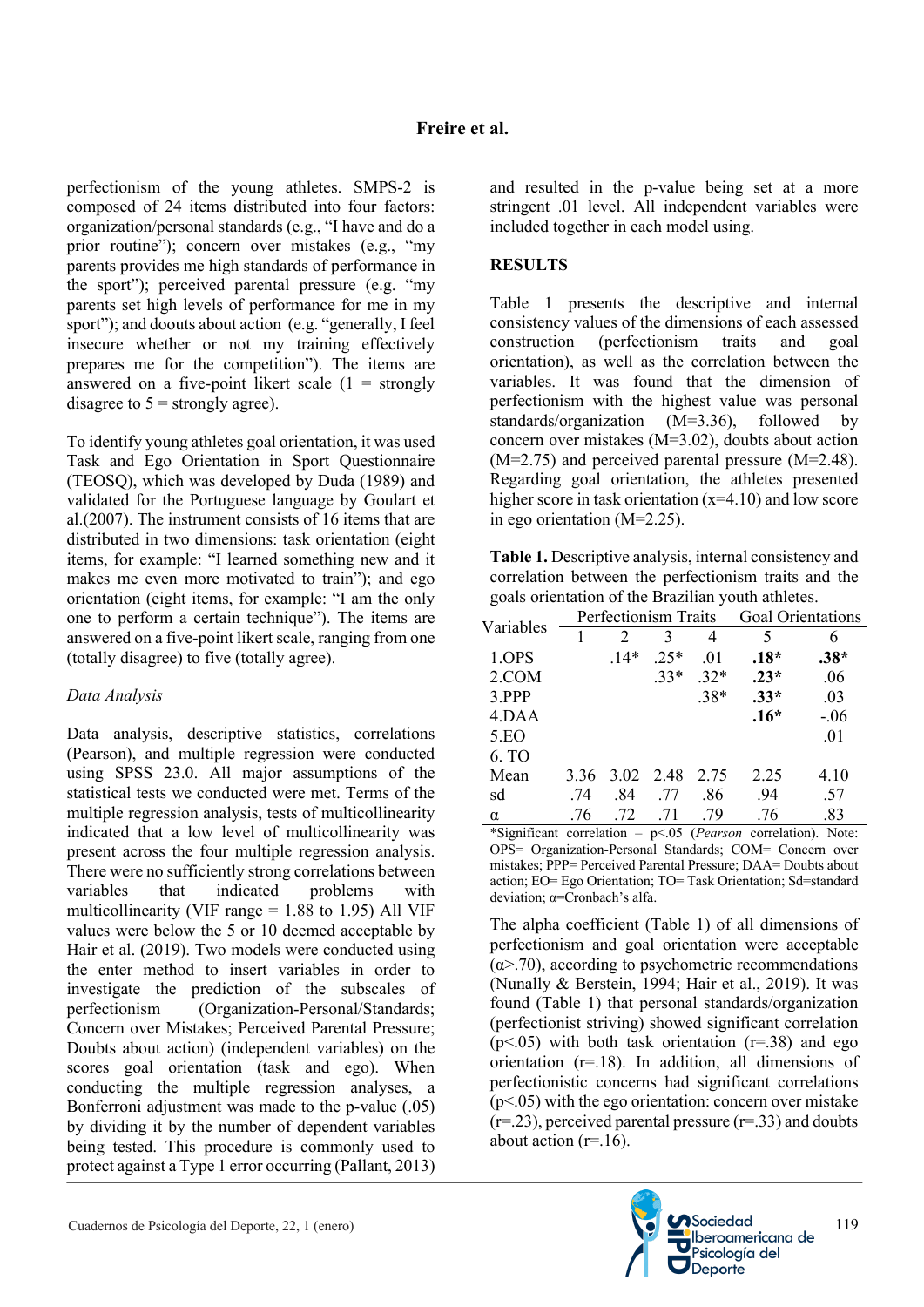perfectionism of the young athletes. SMPS-2 is composed of 24 items distributed into four factors: organization/personal standards (e.g., "I have and do a prior routine"); concern over mistakes (e.g., "my parents provides me high standards of performance in the sport"); perceived parental pressure (e.g. "my parents set high levels of performance for me in my sport"); and doouts about action (e.g. "generally, I feel insecure whether or not my training effectively prepares me for the competition"). The items are answered on a five-point likert scale  $(1 =$  strongly disagree to  $5 =$  strongly agree).

To identify young athletes goal orientation, it was used Task and Ego Orientation in Sport Questionnaire (TEOSQ), which was developed by Duda (1989) and validated for the Portuguese language by Goulart et al.(2007). The instrument consists of 16 items that are distributed in two dimensions: task orientation (eight items, for example: "I learned something new and it makes me even more motivated to train"); and ego orientation (eight items, for example: "I am the only one to perform a certain technique"). The items are answered on a five-point likert scale, ranging from one (totally disagree) to five (totally agree).

# *Data Analysis*

Data analysis, descriptive statistics, correlations (Pearson), and multiple regression were conducted using SPSS 23.0. All major assumptions of the statistical tests we conducted were met. Terms of the multiple regression analysis, tests of multicollinearity indicated that a low level of multicollinearity was present across the four multiple regression analysis. There were no sufficiently strong correlations between variables that indicated problems with multicollinearity (VIF range  $= 1.88$  to 1.95) All VIF values were below the 5 or 10 deemed acceptable by Hair et al. (2019). Two models were conducted using the enter method to insert variables in order to investigate the prediction of the subscales of perfectionism (Organization-Personal/Standards; Concern over Mistakes; Perceived Parental Pressure; Doubts about action) (independent variables) on the scores goal orientation (task and ego). When conducting the multiple regression analyses, a Bonferroni adjustment was made to the p-value (.05) by dividing it by the number of dependent variables being tested. This procedure is commonly used to protect against a Type 1 error occurring (Pallant, 2013) and resulted in the p-value being set at a more stringent .01 level. All independent variables were included together in each model using.

# **RESULTS**

Table 1 presents the descriptive and internal consistency values of the dimensions of each assessed construction (perfectionism traits and goal orientation), as well as the correlation between the variables. It was found that the dimension of perfectionism with the highest value was personal standards/organization (M=3.36), followed by concern over mistakes (M=3.02), doubts about action  $(M=2.75)$  and perceived parental pressure  $(M=2.48)$ . Regarding goal orientation, the athletes presented higher score in task orientation  $(x=4.10)$  and low score in ego orientation (M=2.25).

**Table 1.** Descriptive analysis, internal consistency and correlation between the perfectionism traits and the goals orientation of the Brazilian youth athletes.

| Variables | Perfectionism Traits |           |        |        | <b>Goal Orientations</b> |        |
|-----------|----------------------|-----------|--------|--------|--------------------------|--------|
|           |                      |           | 3      |        |                          | 6      |
| 1.OPS     |                      | $.14*$    | $.25*$ | .01    | $.18*$                   | $.38*$ |
| 2.COM     |                      |           | $.33*$ | $.32*$ | $.23*$                   | .06    |
| 3.PPP     |                      |           |        | $.38*$ | $.33*$                   | .03    |
| 4.DAA     |                      |           |        |        | $.16*$                   | $-.06$ |
| 5.EO      |                      |           |        |        |                          | .01    |
| 6. TO     |                      |           |        |        |                          |        |
| Mean      | 3.36                 | 3.02 2.48 |        | 2.75   | 2.25                     | 4.10   |
| sd        | .74                  | .84       | .77    | .86    | .94                      | .57    |
| $\alpha$  | .76                  | .72       | .71    | .79    | .76                      | .83    |

\*Significant correlation – p<.05 (*Pearson* correlation). Note: OPS= Organization-Personal Standards; COM= Concern over mistakes; PPP= Perceived Parental Pressure; DAA= Doubts about action; EO= Ego Orientation; TO= Task Orientation; Sd=standard deviation; α=Cronbach's alfa.

The alpha coefficient (Table 1) of all dimensions of perfectionism and goal orientation were acceptable  $(\alpha$  > .70), according to psychometric recommendations (Nunally & Berstein, 1994; Hair et al., 2019). It was found (Table 1) that personal standards/organization (perfectionist striving) showed significant correlation ( $p$ <.05) with both task orientation ( $r$ =.38) and ego orientation (r=.18). In addition, all dimensions of perfectionistic concerns had significant correlations  $(p<.05)$  with the ego orientation: concern over mistake  $(r=.23)$ , perceived parental pressure  $(r=.33)$  and doubts about action  $(r=16)$ .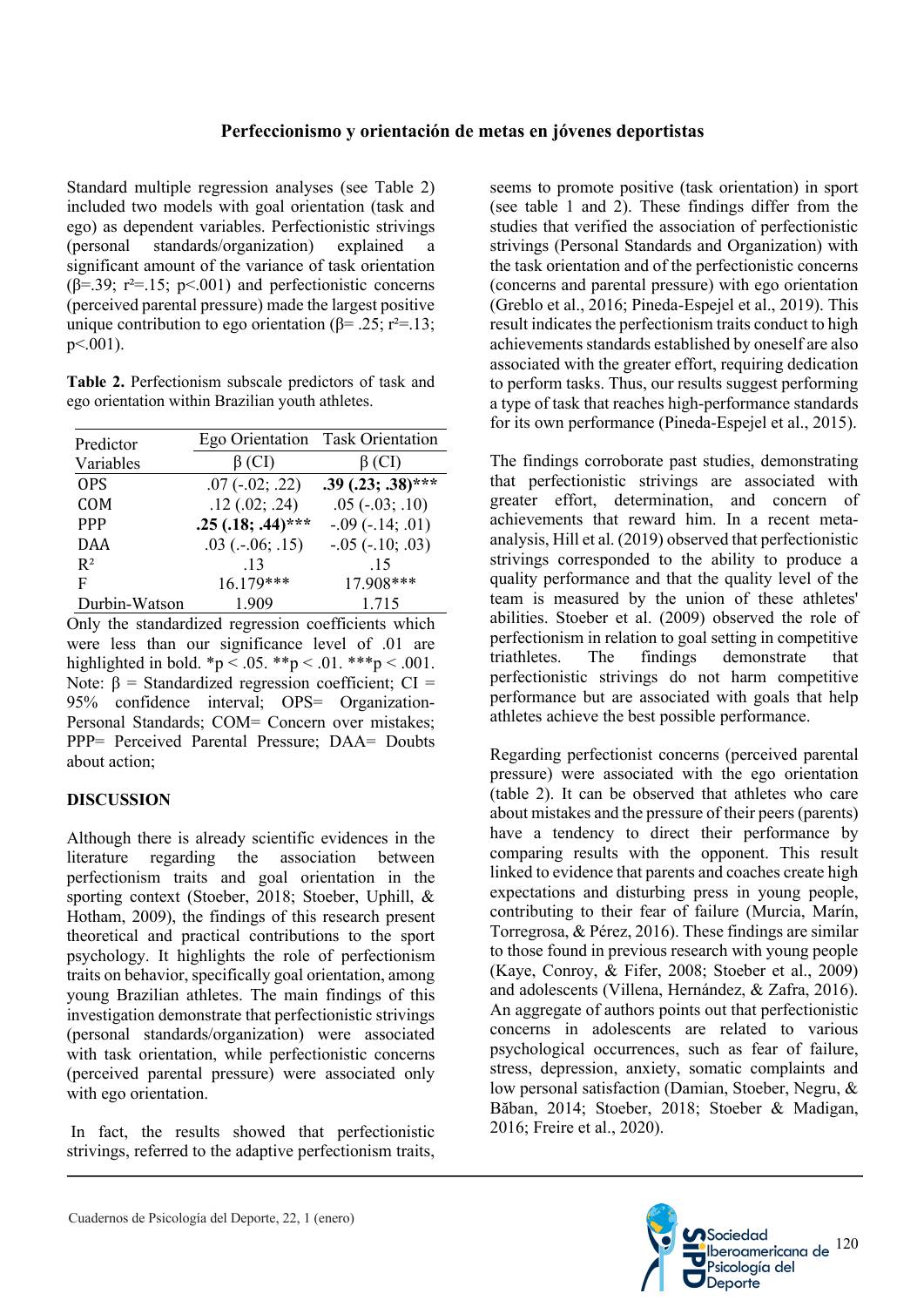Standard multiple regression analyses (see Table 2) included two models with goal orientation (task and ego) as dependent variables. Perfectionistic strivings (personal standards/organization) explained a significant amount of the variance of task orientation ( $\beta$ =.39; r<sup>2</sup>=.15; p<.001) and perfectionistic concerns (perceived parental pressure) made the largest positive unique contribution to ego orientation (β= .25; r<sup>2</sup>=.13;  $p<.001$ ).

**Table 2.** Perfectionism subscale predictors of task and ego orientation within Brazilian youth athletes.

| Predictor     |                          | Ego Orientation Task Orientation |  |
|---------------|--------------------------|----------------------------------|--|
| Variables     | $\beta$ (CI)             | $\beta$ (CI)                     |  |
| <b>OPS</b>    | $.07$ ( $-.02$ ; $.22$ ) | $.39(.23; .38)$ ***              |  |
| <b>COM</b>    | .12(.02; .24)            | $.05$ ( $-.03$ ; $.10$ )         |  |
| <b>PPP</b>    | $.25(.18; .44)$ ***      | $-.09$ ( $-.14; .01$ )           |  |
| <b>DAA</b>    | $.03$ ( $-.06$ ; $.15$ ) | $-.05 (-10; .03)$                |  |
| $R^2$         | .13                      | .15                              |  |
| F             | 16.179***                | 17.908***                        |  |
| Durbin-Watson | 1.909                    | 1.715                            |  |

Only the standardized regression coefficients which were less than our significance level of .01 are highlighted in bold. \*p < .05. \*\*p < .01. \*\*\*p < .001. Note:  $β = Standardized regression coefficient; CI =$ 95% confidence interval; OPS= Organization-Personal Standards; COM= Concern over mistakes; PPP= Perceived Parental Pressure; DAA= Doubts about action;

# **DISCUSSION**

Although there is already scientific evidences in the literature regarding the association between perfectionism traits and goal orientation in the sporting context (Stoeber, 2018; Stoeber, Uphill, & Hotham, 2009), the findings of this research present theoretical and practical contributions to the sport psychology. It highlights the role of perfectionism traits on behavior, specifically goal orientation, among young Brazilian athletes. The main findings of this investigation demonstrate that perfectionistic strivings (personal standards/organization) were associated with task orientation, while perfectionistic concerns (perceived parental pressure) were associated only with ego orientation.

In fact, the results showed that perfectionistic strivings, referred to the adaptive perfectionism traits, seems to promote positive (task orientation) in sport (see table 1 and 2). These findings differ from the studies that verified the association of perfectionistic strivings (Personal Standards and Organization) with the task orientation and of the perfectionistic concerns (concerns and parental pressure) with ego orientation (Greblo et al., 2016; Pineda-Espejel et al., 2019). This result indicates the perfectionism traits conduct to high achievements standards established by oneself are also associated with the greater effort, requiring dedication to perform tasks. Thus, our results suggest performing a type of task that reaches high-performance standards for its own performance (Pineda-Espejel et al., 2015).

The findings corroborate past studies, demonstrating that perfectionistic strivings are associated with greater effort, determination, and concern of achievements that reward him. In a recent metaanalysis, Hill et al. (2019) observed that perfectionistic strivings corresponded to the ability to produce a quality performance and that the quality level of the team is measured by the union of these athletes' abilities. Stoeber et al. (2009) observed the role of perfectionism in relation to goal setting in competitive triathletes. The findings demonstrate that perfectionistic strivings do not harm competitive performance but are associated with goals that help athletes achieve the best possible performance.

Regarding perfectionist concerns (perceived parental pressure) were associated with the ego orientation (table 2). It can be observed that athletes who care about mistakes and the pressure of their peers (parents) have a tendency to direct their performance by comparing results with the opponent. This result linked to evidence that parents and coaches create high expectations and disturbing press in young people, contributing to their fear of failure (Murcia, Marín, Torregrosa, & Pérez, 2016). These findings are similar to those found in previous research with young people (Kaye, Conroy, & Fifer, 2008; Stoeber et al., 2009) and adolescents (Villena, Hernández, & Zafra, 2016). An aggregate of authors points out that perfectionistic concerns in adolescents are related to various psychological occurrences, such as fear of failure, stress, depression, anxiety, somatic complaints and low personal satisfaction (Damian, Stoeber, Negru, & Băban, 2014; Stoeber, 2018; Stoeber & Madigan, 2016; Freire et al., 2020).

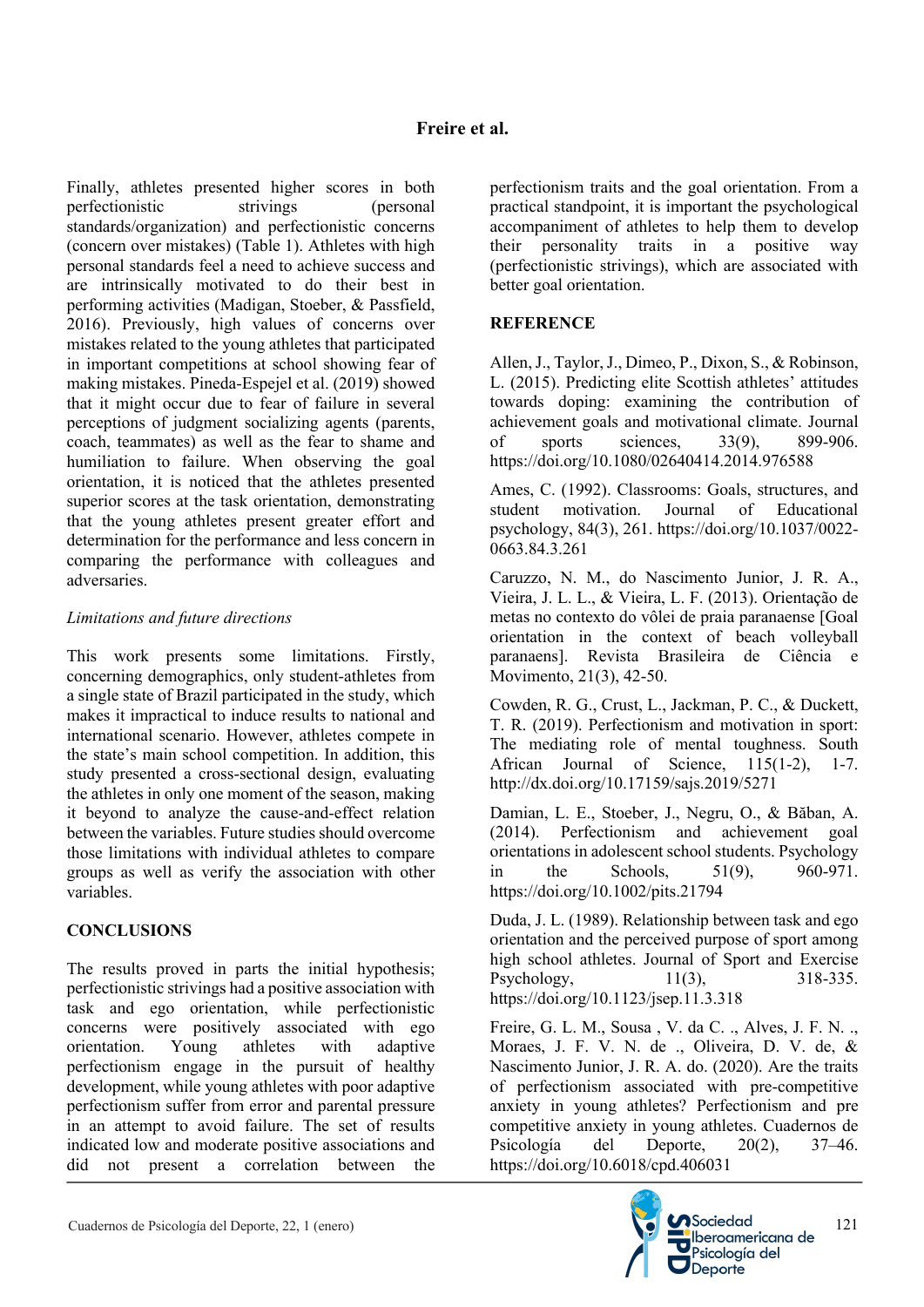Finally, athletes presented higher scores in both perfectionistic strivings (personal standards/organization) and perfectionistic concerns (concern over mistakes) (Table 1). Athletes with high personal standards feel a need to achieve success and are intrinsically motivated to do their best in performing activities (Madigan, Stoeber, & Passfield, 2016). Previously, high values of concerns over mistakes related to the young athletes that participated in important competitions at school showing fear of making mistakes. Pineda-Espejel et al. (2019) showed that it might occur due to fear of failure in several perceptions of judgment socializing agents (parents, coach, teammates) as well as the fear to shame and humiliation to failure. When observing the goal orientation, it is noticed that the athletes presented superior scores at the task orientation, demonstrating that the young athletes present greater effort and determination for the performance and less concern in comparing the performance with colleagues and adversaries.

## *Limitations and future directions*

This work presents some limitations. Firstly, concerning demographics, only student-athletes from a single state of Brazil participated in the study, which makes it impractical to induce results to national and international scenario. However, athletes compete in the state's main school competition. In addition, this study presented a cross-sectional design, evaluating the athletes in only one moment of the season, making it beyond to analyze the cause-and-effect relation between the variables. Future studies should overcome those limitations with individual athletes to compare groups as well as verify the association with other variables.

# **CONCLUSIONS**

The results proved in parts the initial hypothesis; perfectionistic strivings had a positive association with task and ego orientation, while perfectionistic concerns were positively associated with ego<br>orientation. Young athletes with adantive orientation. Young athletes with adaptive perfectionism engage in the pursuit of healthy development, while young athletes with poor adaptive perfectionism suffer from error and parental pressure in an attempt to avoid failure. The set of results indicated low and moderate positive associations and did not present a correlation between the perfectionism traits and the goal orientation. From a practical standpoint, it is important the psychological accompaniment of athletes to help them to develop their personality traits in a positive way (perfectionistic strivings), which are associated with better goal orientation.

# **REFERENCE**

Allen, J., Taylor, J., Dimeo, P., Dixon, S., & Robinson, L. (2015). Predicting elite Scottish athletes' attitudes towards doping: examining the contribution of achievement goals and motivational climate. Journal of sports sciences, 33(9), 899-906. https://doi.org/10.1080/02640414.2014.976588

Ames, C. (1992). Classrooms: Goals, structures, and student motivation. Journal of Educational psychology, 84(3), 261. https://doi.org/10.1037/0022- 0663.84.3.261

Caruzzo, N. M., do Nascimento Junior, J. R. A., Vieira, J. L. L., & Vieira, L. F. (2013). Orientação de metas no contexto do vôlei de praia paranaense [Goal orientation in the context of beach volleyball paranaens]. Revista Brasileira de Ciência e Movimento, 21(3), 42-50.

Cowden, R. G., Crust, L., Jackman, P. C., & Duckett, T. R. (2019). Perfectionism and motivation in sport: The mediating role of mental toughness. South African Journal of Science, 115(1-2), 1-7. http://dx.doi.org/10.17159/sajs.2019/5271

Damian, L. E., Stoeber, J., Negru, O., & Băban, A. (2014). Perfectionism and achievement goal orientations in adolescent school students. Psychology in the Schools, 51(9), 960-971. https://doi.org/10.1002/pits.21794

Duda, J. L. (1989). Relationship between task and ego orientation and the perceived purpose of sport among high school athletes. Journal of Sport and Exercise Psychology, 11(3), 318-335. https://doi.org/10.1123/jsep.11.3.318

Freire, G. L. M., Sousa , V. da C. ., Alves, J. F. N. ., Moraes, J. F. V. N. de ., Oliveira, D. V. de, & Nascimento Junior, J. R. A. do. (2020). Are the traits of perfectionism associated with pre-competitive anxiety in young athletes? Perfectionism and pre competitive anxiety in young athletes. Cuadernos de Psicología del Deporte, 20(2), 37–46. https://doi.org/10.6018/cpd.406031

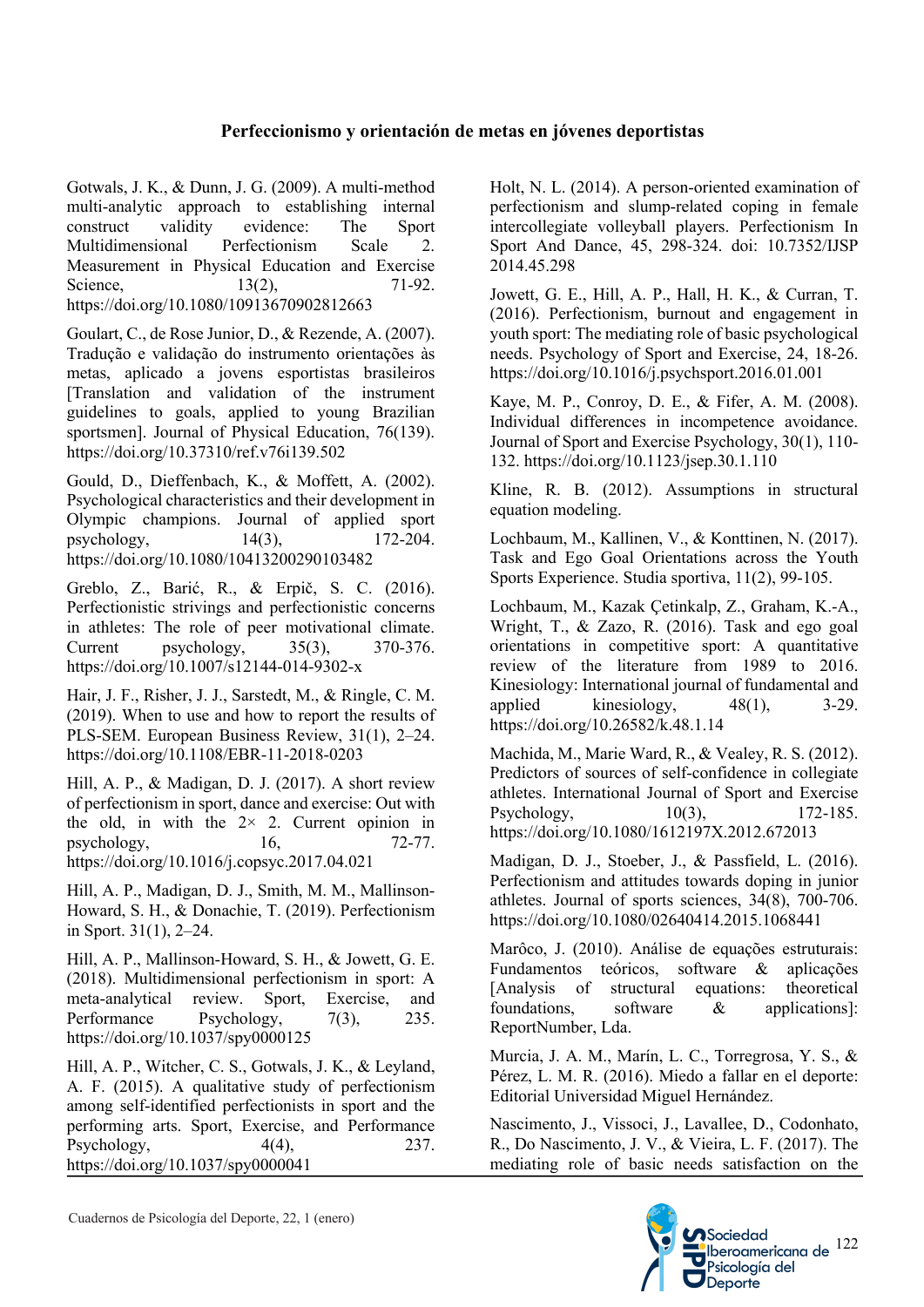# **Perfeccionismo y orientación de metas en jóvenes deportistas**

Gotwals, J. K., & Dunn, J. G. (2009). A multi-method multi-analytic approach to establishing internal construct validity evidence: The Sport Multidimensional Perfectionism Scale 2. Measurement in Physical Education and Exercise Science, 13(2), 71-92. https://doi.org/10.1080/10913670902812663

Goulart, C., de Rose Junior, D., & Rezende, A. (2007). Tradução e validação do instrumento orientações às metas, aplicado a jovens esportistas brasileiros [Translation and validation of the instrument guidelines to goals, applied to young Brazilian sportsmen]. Journal of Physical Education, 76(139). https://doi.org/10.37310/ref.v76i139.502

Gould, D., Dieffenbach, K., & Moffett, A. (2002). Psychological characteristics and their development in Olympic champions. Journal of applied sport psychology, 14(3), 172-204. https://doi.org/10.1080/10413200290103482

Greblo, Z., Barić, R., & Erpič, S. C. (2016). Perfectionistic strivings and perfectionistic concerns in athletes: The role of peer motivational climate. Current psychology, 35(3), 370-376. https://doi.org/10.1007/s12144-014-9302-x

Hair, J. F., Risher, J. J., Sarstedt, M., & Ringle, C. M. (2019). When to use and how to report the results of PLS-SEM. European Business Review, 31(1), 2–24. https://doi.org/10.1108/EBR-11-2018-0203

Hill, A. P., & Madigan, D. J. (2017). A short review of perfectionism in sport, dance and exercise: Out with the old, in with the  $2 \times 2$ . Current opinion in psychology, 16, 72-77. https://doi.org/10.1016/j.copsyc.2017.04.021

Hill, A. P., Madigan, D. J., Smith, M. M., Mallinson-Howard, S. H., & Donachie, T. (2019). Perfectionism in Sport. 31(1), 2–24.

Hill, A. P., Mallinson-Howard, S. H., & Jowett, G. E. (2018). Multidimensional perfectionism in sport: A meta-analytical review. Sport, Exercise, and Performance Psychology, 7(3), 235. https://doi.org/10.1037/spy0000125

Hill, A. P., Witcher, C. S., Gotwals, J. K., & Leyland, A. F. (2015). A qualitative study of perfectionism among self-identified perfectionists in sport and the performing arts. Sport, Exercise, and Performance Psychology,  $4(4)$ ,  $237$ . https://doi.org/10.1037/spy0000041

Holt, N. L. (2014). A person-oriented examination of perfectionism and slump-related coping in female intercollegiate volleyball players. Perfectionism In Sport And Dance, 45, 298-324. doi: 10.7352/IJSP 2014.45.298

Jowett, G. E., Hill, A. P., Hall, H. K., & Curran, T. (2016). Perfectionism, burnout and engagement in youth sport: The mediating role of basic psychological needs. Psychology of Sport and Exercise, 24, 18-26. https://doi.org/10.1016/j.psychsport.2016.01.001

Kaye, M. P., Conroy, D. E., & Fifer, A. M. (2008). Individual differences in incompetence avoidance. Journal of Sport and Exercise Psychology, 30(1), 110- 132. https://doi.org/10.1123/jsep.30.1.110

Kline, R. B. (2012). Assumptions in structural equation modeling.

Lochbaum, M., Kallinen, V., & Konttinen, N. (2017). Task and Ego Goal Orientations across the Youth Sports Experience. Studia sportiva, 11(2), 99-105.

Lochbaum, M., Kazak Çetinkalp, Z., Graham, K.-A., Wright, T., & Zazo, R. (2016). Task and ego goal orientations in competitive sport: A quantitative review of the literature from 1989 to 2016. Kinesiology: International journal of fundamental and applied kinesiology,  $48(1)$ ,  $3-29$ . https://doi.org/10.26582/k.48.1.14

Machida, M., Marie Ward, R., & Vealey, R. S. (2012). Predictors of sources of self-confidence in collegiate athletes. International Journal of Sport and Exercise Psychology, 10(3), 172-185. https://doi.org/10.1080/1612197X.2012.672013

Madigan, D. J., Stoeber, J., & Passfield, L. (2016). Perfectionism and attitudes towards doping in junior athletes. Journal of sports sciences, 34(8), 700-706. https://doi.org/10.1080/02640414.2015.1068441

Marôco, J. (2010). Análise de equações estruturais: Fundamentos teóricos, software & aplicações [Analysis of structural equations: theoretical foundations, software & applications]: ReportNumber, Lda.

Murcia, J. A. M., Marín, L. C., Torregrosa, Y. S., & Pérez, L. M. R. (2016). Miedo a fallar en el deporte: Editorial Universidad Miguel Hernández.

Nascimento, J., Vissoci, J., Lavallee, D., Codonhato, R., Do Nascimento, J. V., & Vieira, L. F. (2017). The mediating role of basic needs satisfaction on the